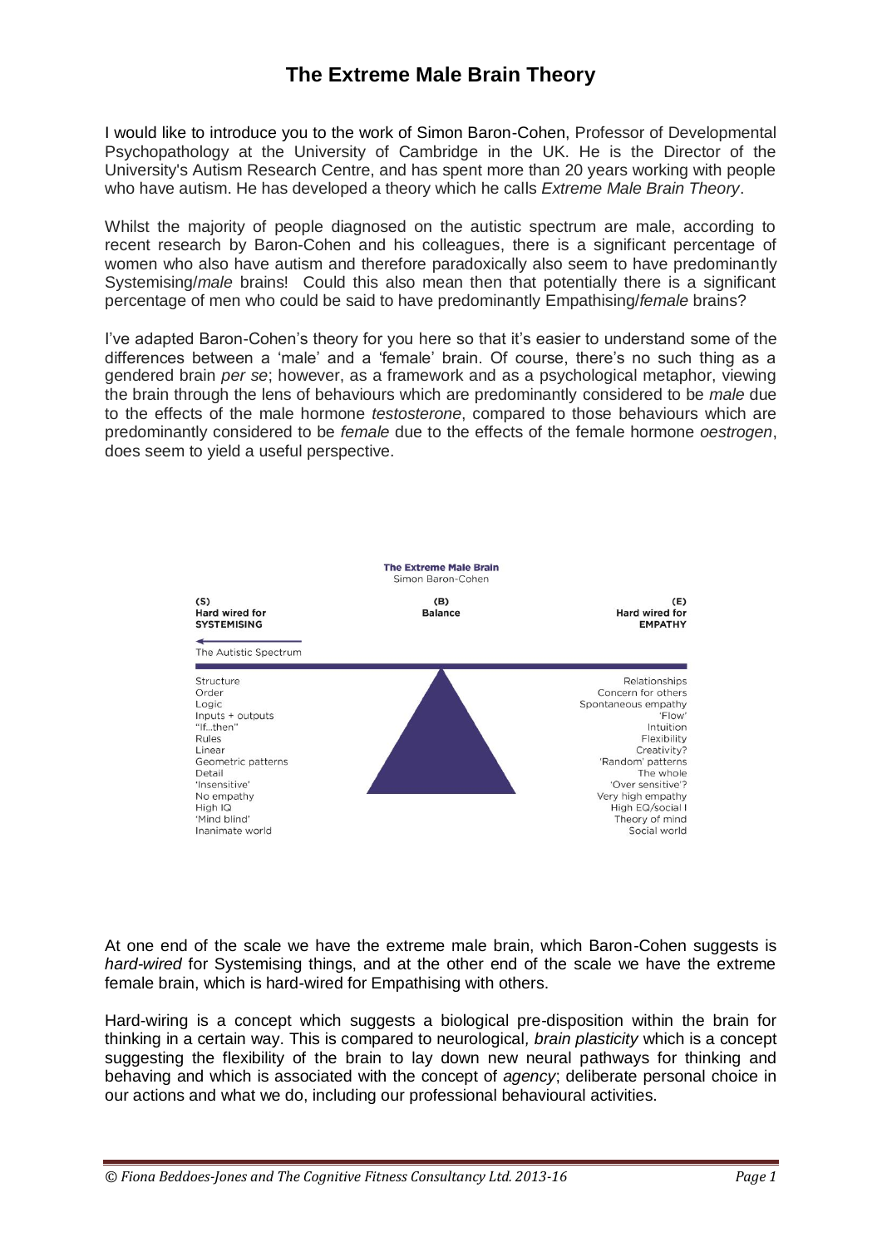## **The Extreme Male Brain Theory**

I would like to introduce you to the work of Simon Baron-Cohen, Professor of Developmental Psychopathology at the University of Cambridge in the UK. He is the Director of the University's Autism Research Centre, and has spent more than 20 years working with people who have autism. He has developed a theory which he calls *Extreme Male Brain Theory*.

Whilst the majority of people diagnosed on the autistic spectrum are male, according to recent research by Baron-Cohen and his colleagues, there is a significant percentage of women who also have autism and therefore paradoxically also seem to have predominantly Systemising/*male* brains! Could this also mean then that potentially there is a significant percentage of men who could be said to have predominantly Empathising/*female* brains?

I've adapted Baron-Cohen's theory for you here so that it's easier to understand some of the differences between a 'male' and a 'female' brain. Of course, there's no such thing as a gendered brain *per se*; however, as a framework and as a psychological metaphor, viewing the brain through the lens of behaviours which are predominantly considered to be *male* due to the effects of the male hormone *testosterone*, compared to those behaviours which are predominantly considered to be *female* due to the effects of the female hormone *oestrogen*, does seem to yield a useful perspective.



At one end of the scale we have the extreme male brain, which Baron-Cohen suggests is *hard-wired* for Systemising things, and at the other end of the scale we have the extreme female brain, which is hard-wired for Empathising with others.

Hard-wiring is a concept which suggests a biological pre-disposition within the brain for thinking in a certain way. This is compared to neurological*, brain plasticity* which is a concept suggesting the flexibility of the brain to lay down new neural pathways for thinking and behaving and which is associated with the concept of *agency*; deliberate personal choice in our actions and what we do, including our professional behavioural activities.